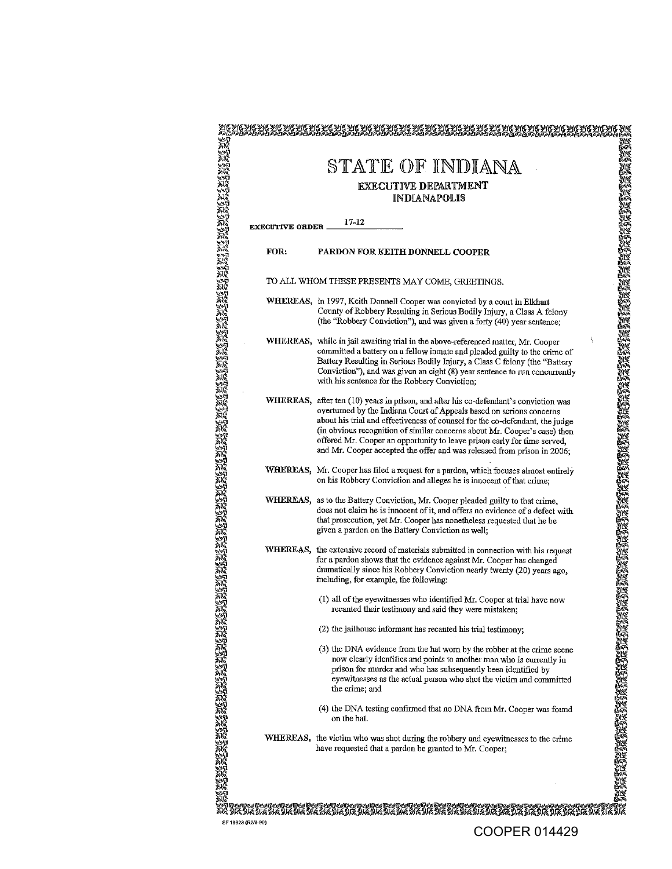|                        | STATE OF INDIANA                                                                                                                                                                                                                                                                                                                                                                                                                                                                 |
|------------------------|----------------------------------------------------------------------------------------------------------------------------------------------------------------------------------------------------------------------------------------------------------------------------------------------------------------------------------------------------------------------------------------------------------------------------------------------------------------------------------|
|                        | <b>EXECUTIVE DEPARTMENT</b>                                                                                                                                                                                                                                                                                                                                                                                                                                                      |
|                        | <b>INDIANAPOLIS</b>                                                                                                                                                                                                                                                                                                                                                                                                                                                              |
| <b>EXECUTIVE ORDER</b> | 17-12                                                                                                                                                                                                                                                                                                                                                                                                                                                                            |
| FOR:                   | PARDON FOR KEITH DONNELL COOPER                                                                                                                                                                                                                                                                                                                                                                                                                                                  |
|                        | TO ALL WHOM THESE PRESENTS MAY COME, GREETINGS.                                                                                                                                                                                                                                                                                                                                                                                                                                  |
|                        | WHEREAS, in 1997, Keith Donnell Cooper was convicted by a court in Elkhart<br>County of Robbery Resulting in Serious Bodily Injury, a Class A felony<br>(the "Robbery Conviction"), and was given a forty (40) year sentence;                                                                                                                                                                                                                                                    |
|                        | WHEREAS, while in jail awaiting trial in the above-referenced matter, Mr. Cooper<br>committed a battery on a fellow inmate and pleaded guilty to the crime of<br>Battery Resulting in Serious Bodily Injury, a Class C felony (the "Battery<br>Conviction"), and was given an eight (8) year sentence to run concurrently<br>with his sentence for the Robbery Conviction;                                                                                                       |
|                        | WHEREAS, after ten (10) years in prison, and after his co-defendant's conviction was<br>overturned by the Indiana Court of Appeals based on serions concerns<br>about his trial and effectiveness of counsel for the co-defendant, the judge<br>(in obvious recognition of similar concerns about Mr. Cooper's case) then<br>offered Mr. Cooper an opportunity to leave prison early for time served,<br>and Mr. Cooper accepted the offer and was released from prison in 2006; |
|                        | WHEREAS, Mr. Cooper has filed a request for a pardon, which focuses almost entirely<br>on his Robbery Conviction and alleges he is innocent of that crime;                                                                                                                                                                                                                                                                                                                       |
|                        | WHEREAS, as to the Battery Conviction, Mr. Cooper pleaded guilty to that crime,<br>does not claim he is innocent of it, and offers no evidence of a defect with<br>that prosecution, yet Mr. Cooper has nonetheless requested that he be<br>given a pardon on the Battery Conviction as well;                                                                                                                                                                                    |
|                        | WHEREAS, the extensive record of materials submitted in connection with his request<br>for a pardon shows that the evidence against Mr. Cooper has changed<br>dramatically since his Robbery Conviction nearly twenty (20) years ago.<br>meluding, for example, the following:                                                                                                                                                                                                   |
|                        | (1) all of the eyewitnesses who identified Mr. Cooper at trial have now<br>recanted their testimony and said they were mistaken;                                                                                                                                                                                                                                                                                                                                                 |
|                        | (2) the jailhouse informant has recanted his trial testimony;                                                                                                                                                                                                                                                                                                                                                                                                                    |
|                        | (3) the DNA evidence from the hat worn by the robber at the crime scene<br>now clearly identifies and points to another man who is currently in<br>prison for murder and who has subsequently been identified by<br>eyewitnesses as the actual person who shot the victim and committed<br>the crime; and                                                                                                                                                                        |
|                        | (4) the DNA testing confirmed that no DNA from Mr. Cooper was found<br>on the hat.                                                                                                                                                                                                                                                                                                                                                                                               |
|                        | WHEREAS, the victim who was shot during the robbery and eyewitnesses to the crime<br>have requested that a pardon be granted to Mr. Cooper;                                                                                                                                                                                                                                                                                                                                      |

 $^{26}$  . The space of the space of the space of the space of the space of the space of the space of the space of the space of the space of the space of the space of the space of the space of the space of the space of the COOPER 014429